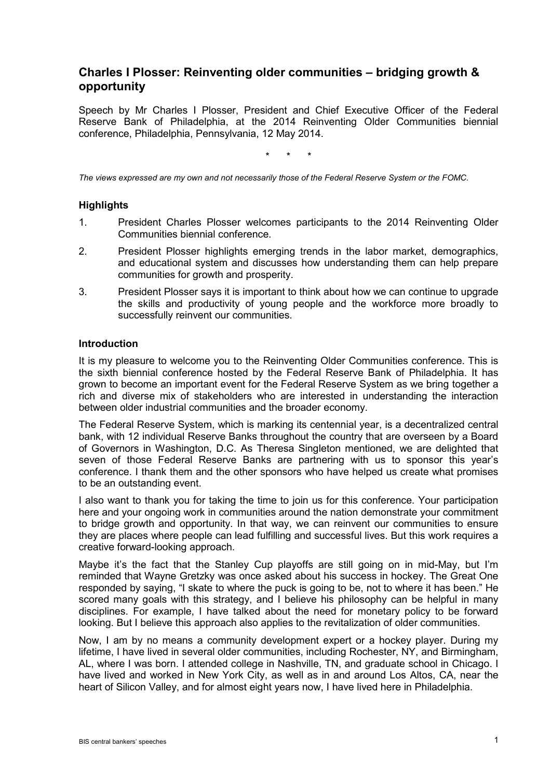# **Charles I Plosser: Reinventing older communities – bridging growth & opportunity**

Speech by Mr Charles I Plosser, President and Chief Executive Officer of the Federal Reserve Bank of Philadelphia, at the 2014 Reinventing Older Communities biennial conference, Philadelphia, Pennsylvania, 12 May 2014.

\* \* \*

*The views expressed are my own and not necessarily those of the Federal Reserve System or the FOMC.*

## **Highlights**

- 1. President Charles Plosser welcomes participants to the 2014 Reinventing Older Communities biennial conference.
- 2. President Plosser highlights emerging trends in the labor market, demographics, and educational system and discusses how understanding them can help prepare communities for growth and prosperity.
- 3. President Plosser says it is important to think about how we can continue to upgrade the skills and productivity of young people and the workforce more broadly to successfully reinvent our communities.

#### **Introduction**

It is my pleasure to welcome you to the Reinventing Older Communities conference. This is the sixth biennial conference hosted by the Federal Reserve Bank of Philadelphia. It has grown to become an important event for the Federal Reserve System as we bring together a rich and diverse mix of stakeholders who are interested in understanding the interaction between older industrial communities and the broader economy.

The Federal Reserve System, which is marking its centennial year, is a decentralized central bank, with 12 individual Reserve Banks throughout the country that are overseen by a Board of Governors in Washington, D.C. As Theresa Singleton mentioned, we are delighted that seven of those Federal Reserve Banks are partnering with us to sponsor this year's conference. I thank them and the other sponsors who have helped us create what promises to be an outstanding event.

I also want to thank you for taking the time to join us for this conference. Your participation here and your ongoing work in communities around the nation demonstrate your commitment to bridge growth and opportunity. In that way, we can reinvent our communities to ensure they are places where people can lead fulfilling and successful lives. But this work requires a creative forward-looking approach.

Maybe it's the fact that the Stanley Cup playoffs are still going on in mid-May, but I'm reminded that Wayne Gretzky was once asked about his success in hockey. The Great One responded by saying, "I skate to where the puck is going to be, not to where it has been." He scored many goals with this strategy, and I believe his philosophy can be helpful in many disciplines. For example, I have talked about the need for monetary policy to be forward looking. But I believe this approach also applies to the revitalization of older communities.

Now, I am by no means a community development expert or a hockey player. During my lifetime, I have lived in several older communities, including Rochester, NY, and Birmingham, AL, where I was born. I attended college in Nashville, TN, and graduate school in Chicago. I have lived and worked in New York City, as well as in and around Los Altos, CA, near the heart of Silicon Valley, and for almost eight years now, I have lived here in Philadelphia.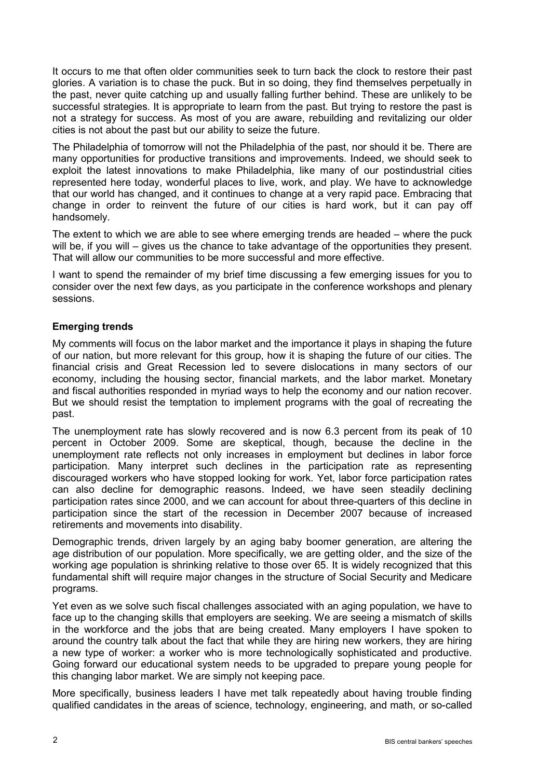It occurs to me that often older communities seek to turn back the clock to restore their past glories. A variation is to chase the puck. But in so doing, they find themselves perpetually in the past, never quite catching up and usually falling further behind. These are unlikely to be successful strategies. It is appropriate to learn from the past. But trying to restore the past is not a strategy for success. As most of you are aware, rebuilding and revitalizing our older cities is not about the past but our ability to seize the future.

The Philadelphia of tomorrow will not the Philadelphia of the past, nor should it be. There are many opportunities for productive transitions and improvements. Indeed, we should seek to exploit the latest innovations to make Philadelphia, like many of our postindustrial cities represented here today, wonderful places to live, work, and play. We have to acknowledge that our world has changed, and it continues to change at a very rapid pace. Embracing that change in order to reinvent the future of our cities is hard work, but it can pay off handsomely.

The extent to which we are able to see where emerging trends are headed – where the puck will be, if you will – gives us the chance to take advantage of the opportunities they present. That will allow our communities to be more successful and more effective.

I want to spend the remainder of my brief time discussing a few emerging issues for you to consider over the next few days, as you participate in the conference workshops and plenary sessions.

# **Emerging trends**

My comments will focus on the labor market and the importance it plays in shaping the future of our nation, but more relevant for this group, how it is shaping the future of our cities. The financial crisis and Great Recession led to severe dislocations in many sectors of our economy, including the housing sector, financial markets, and the labor market. Monetary and fiscal authorities responded in myriad ways to help the economy and our nation recover. But we should resist the temptation to implement programs with the goal of recreating the past.

The unemployment rate has slowly recovered and is now 6.3 percent from its peak of 10 percent in October 2009. Some are skeptical, though, because the decline in the unemployment rate reflects not only increases in employment but declines in labor force participation. Many interpret such declines in the participation rate as representing discouraged workers who have stopped looking for work. Yet, labor force participation rates can also decline for demographic reasons. Indeed, we have seen steadily declining participation rates since 2000, and we can account for about three-quarters of this decline in participation since the start of the recession in December 2007 because of increased retirements and movements into disability.

Demographic trends, driven largely by an aging baby boomer generation, are altering the age distribution of our population. More specifically, we are getting older, and the size of the working age population is shrinking relative to those over 65. It is widely recognized that this fundamental shift will require major changes in the structure of Social Security and Medicare programs.

Yet even as we solve such fiscal challenges associated with an aging population, we have to face up to the changing skills that employers are seeking. We are seeing a mismatch of skills in the workforce and the jobs that are being created. Many employers I have spoken to around the country talk about the fact that while they are hiring new workers, they are hiring a new type of worker: a worker who is more technologically sophisticated and productive. Going forward our educational system needs to be upgraded to prepare young people for this changing labor market. We are simply not keeping pace.

More specifically, business leaders I have met talk repeatedly about having trouble finding qualified candidates in the areas of science, technology, engineering, and math, or so-called